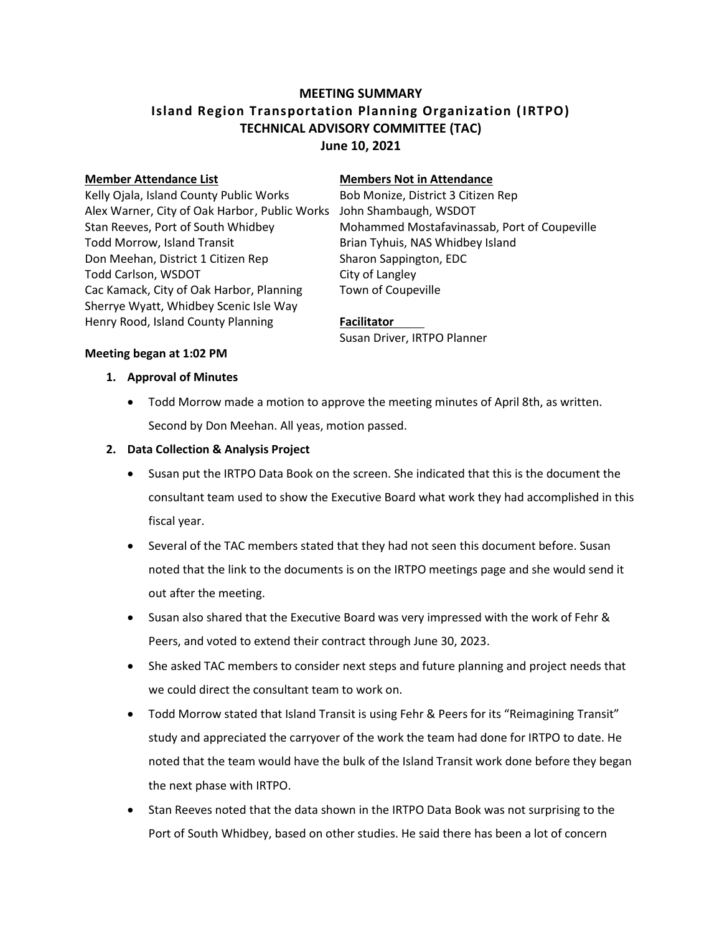# **MEETING SUMMARY Island Region Transportation Planning Organization (IRTPO) TECHNICAL ADVISORY COMMITTEE (TAC) June 10, 2021**

Kelly Ojala, Island County Public Works Bob Monize, District 3 Citizen Rep Alex Warner, City of Oak Harbor, Public Works John Shambaugh, WSDOT Todd Morrow, Island Transit **Brian Tyhuis, NAS Whidbey Island** Don Meehan, District 1 Citizen Rep Sharon Sappington, EDC Todd Carlson, WSDOT City of Langley Cac Kamack, City of Oak Harbor, Planning Town of Coupeville Sherrye Wyatt, Whidbey Scenic Isle Way Henry Rood, Island County Planning **Facilitator**

#### **Member Attendance List Members Not in Attendance**

Stan Reeves, Port of South Whidbey Mohammed Mostafavinassab, Port of Coupeville

Susan Driver, IRTPO Planner

#### **Meeting began at 1:02 PM**

### **1. Approval of Minutes**

 Todd Morrow made a motion to approve the meeting minutes of April 8th, as written. Second by Don Meehan. All yeas, motion passed.

### **2. Data Collection & Analysis Project**

- Susan put the IRTPO Data Book on the screen. She indicated that this is the document the consultant team used to show the Executive Board what work they had accomplished in this fiscal year.
- Several of the TAC members stated that they had not seen this document before. Susan noted that the link to the documents is on the IRTPO meetings page and she would send it out after the meeting.
- Susan also shared that the Executive Board was very impressed with the work of Fehr & Peers, and voted to extend their contract through June 30, 2023.
- She asked TAC members to consider next steps and future planning and project needs that we could direct the consultant team to work on.
- Todd Morrow stated that Island Transit is using Fehr & Peers for its "Reimagining Transit" study and appreciated the carryover of the work the team had done for IRTPO to date. He noted that the team would have the bulk of the Island Transit work done before they began the next phase with IRTPO.
- Stan Reeves noted that the data shown in the IRTPO Data Book was not surprising to the Port of South Whidbey, based on other studies. He said there has been a lot of concern